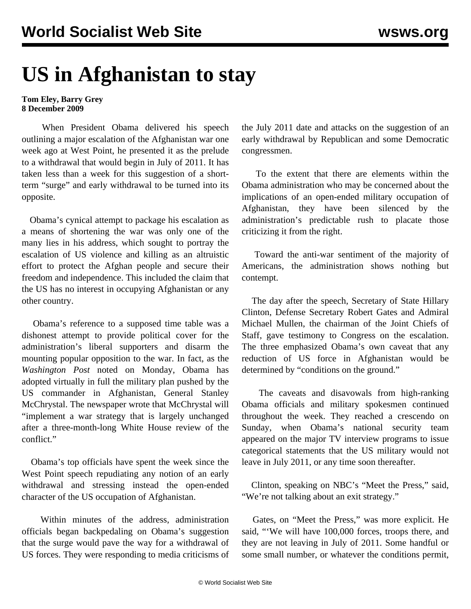## **US in Afghanistan to stay**

**Tom Eley, Barry Grey 8 December 2009**

 When President Obama delivered his speech outlining a major escalation of the Afghanistan war one week ago at West Point, he presented it as the prelude to a withdrawal that would begin in July of 2011. It has taken less than a week for this suggestion of a shortterm "surge" and early withdrawal to be turned into its opposite.

 Obama's cynical attempt to package his escalation as a means of shortening the war was only one of the many lies in his address, which sought to portray the escalation of US violence and killing as an altruistic effort to protect the Afghan people and secure their freedom and independence. This included the claim that the US has no interest in occupying Afghanistan or any other country.

 Obama's reference to a supposed time table was a dishonest attempt to provide political cover for the administration's liberal supporters and disarm the mounting popular opposition to the war. In fact, as the *Washington Post* noted on Monday, Obama has adopted virtually in full the military plan pushed by the US commander in Afghanistan, General Stanley McChrystal. The newspaper wrote that McChrystal will "implement a war strategy that is largely unchanged after a three-month-long White House review of the conflict."

 Obama's top officials have spent the week since the West Point speech repudiating any notion of an early withdrawal and stressing instead the open-ended character of the US occupation of Afghanistan.

 Within minutes of the address, administration officials began backpedaling on Obama's suggestion that the surge would pave the way for a withdrawal of US forces. They were responding to media criticisms of the July 2011 date and attacks on the suggestion of an early withdrawal by Republican and some Democratic congressmen.

 To the extent that there are elements within the Obama administration who may be concerned about the implications of an open-ended military occupation of Afghanistan, they have been silenced by the administration's predictable rush to placate those criticizing it from the right.

 Toward the anti-war sentiment of the majority of Americans, the administration shows nothing but contempt.

 The day after the speech, Secretary of State Hillary Clinton, Defense Secretary Robert Gates and Admiral Michael Mullen, the chairman of the Joint Chiefs of Staff, gave testimony to Congress on the escalation. The three emphasized Obama's own caveat that any reduction of US force in Afghanistan would be determined by "conditions on the ground."

 The caveats and disavowals from high-ranking Obama officials and military spokesmen continued throughout the week. They reached a crescendo on Sunday, when Obama's national security team appeared on the major TV interview programs to issue categorical statements that the US military would not leave in July 2011, or any time soon thereafter.

 Clinton, speaking on NBC's "Meet the Press," said, "We're not talking about an exit strategy."

 Gates, on "Meet the Press," was more explicit. He said, "'We will have 100,000 forces, troops there, and they are not leaving in July of 2011. Some handful or some small number, or whatever the conditions permit,